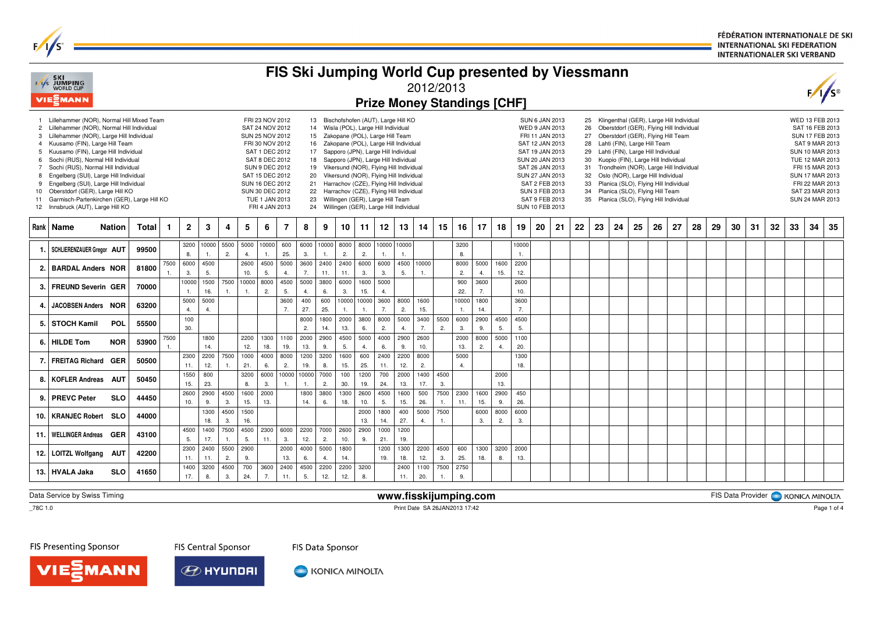FÉDÉRATION INTERNATIONALE DE SKI **INTERNATIONAL SKI FEDERATION INTERNATIONALER SKI VERBAND** 

|                                              | FAS SKI<br>FAS JUMPING<br>WORLD CUP<br>VIE EMANN                                                                                                                                                                                                                                                                                                                                                                                                                                                          |               |              |            |                |                              |                      |             |                                                                                                                                                                                                                                    |                |                             |             |             |                                                                                                                    |             |                                                                                                                                                                                                                                                                                                                                                                                               | 2012/2013   |            |             |             | FIS Ski Jumping World Cup presented by Viessmann<br><b>Prize Money Standings [CHF]</b> |             |                                                                                                                                                                                                                                           |    |                |                                              |    |                                                                                                                                                                                                                                                                                                                                                                                                                                             |    |    |    |    |    |    |    |    | F/I                                                                                                                                                                                                                 |    |
|----------------------------------------------|-----------------------------------------------------------------------------------------------------------------------------------------------------------------------------------------------------------------------------------------------------------------------------------------------------------------------------------------------------------------------------------------------------------------------------------------------------------------------------------------------------------|---------------|--------------|------------|----------------|------------------------------|----------------------|-------------|------------------------------------------------------------------------------------------------------------------------------------------------------------------------------------------------------------------------------------|----------------|-----------------------------|-------------|-------------|--------------------------------------------------------------------------------------------------------------------|-------------|-----------------------------------------------------------------------------------------------------------------------------------------------------------------------------------------------------------------------------------------------------------------------------------------------------------------------------------------------------------------------------------------------|-------------|------------|-------------|-------------|----------------------------------------------------------------------------------------|-------------|-------------------------------------------------------------------------------------------------------------------------------------------------------------------------------------------------------------------------------------------|----|----------------|----------------------------------------------|----|---------------------------------------------------------------------------------------------------------------------------------------------------------------------------------------------------------------------------------------------------------------------------------------------------------------------------------------------------------------------------------------------------------------------------------------------|----|----|----|----|----|----|----|----|---------------------------------------------------------------------------------------------------------------------------------------------------------------------------------------------------------------------|----|
| $\mathbf{2}$<br>5<br>6<br>7<br>9<br>10<br>11 | Lillehammer (NOR), Normal Hill Mixed Team<br>Lillehammer (NOR), Normal Hill Individual<br>3 Lillehammer (NOR), Large Hill Individual<br>4 Kuusamo (FIN), Large Hill Team<br>Kuusamo (FIN), Large Hill Individual<br>Sochi (RUS), Normal Hill Individual<br>Sochi (RUS), Normal Hill Individual<br>Engelberg (SUI), Large Hill Individual<br>Engelberg (SUI), Large Hill Individual<br>Oberstdorf (GER), Large Hill KO<br>Garmisch-Partenkirchen (GER), Large Hill KO<br>12 Innsbruck (AUT), Large Hill KO |               |              |            |                |                              |                      |             | FRI 23 NOV 2012<br>SAT 24 NOV 2012<br>SUN 25 NOV 2012<br>FRI 30 NOV 2012<br>SAT 1 DEC 2012<br>SAT 8 DEC 2012<br><b>SUN 9 DEC 2012</b><br>SAT 15 DEC 2012<br>SUN 16 DEC 2012<br>SUN 30 DEC 2012<br>TUE 1 JAN 2013<br>FRI 4 JAN 2013 |                | 13<br>17<br>18<br>19        | 22          |             | 14 Wisla (POL), Large Hill Individual<br>15 Zakopane (POL), Large Hill Team<br>23 Willingen (GER), Large Hill Team |             | Bischofshofen (AUT), Large Hill KO<br>16 Zakopane (POL), Large Hill Individual<br>Sapporo (JPN), Large Hill Individual<br>Sapporo (JPN), Large Hill Individual<br>Vikersund (NOR), Flying Hill Individual<br>20 Vikersund (NOR), Flying Hill Individual<br>21 Harrachov (CZE), Flying Hill Individual<br>Harrachov (CZE), Flying Hill Individual<br>24 Willingen (GER), Large Hill Individual |             |            |             |             |                                                                                        |             | <b>SUN 6 JAN 2013</b><br>WED 9 JAN 2013<br>FRI 11 JAN 2013<br>SAT 12 JAN 2013<br>SAT 19 JAN 2013<br>SUN 20 JAN 2013<br>SAT 26 JAN 2013<br>SUN 27 JAN 2013<br>SAT 2 FEB 2013<br><b>SUN 3 FEB 2013</b><br>SAT 9 FEB 2013<br>SUN 10 FEB 2013 |    | 27<br>31<br>34 | 25<br>26<br>28<br>29<br>30<br>32<br>33<br>35 |    | Klingenthal (GER), Large Hill Individual<br>Oberstdorf (GER), Flying Hill Individual<br>Oberstdorf (GER), Flying Hill Team<br>Lahti (FIN), Large Hill Team<br>Lahti (FIN), Large Hill Individual<br>Kuopio (FIN), Large Hill Individual<br>Trondheim (NOR), Large Hill Individual<br>Oslo (NOR), Large Hill Individual<br>Planica (SLO), Flying Hill Individual<br>Planica (SLO), Flying Hill Team<br>Planica (SLO), Flying Hill Individual |    |    |    |    |    |    |    |    | WED 13 FEB 2013<br>SAT 16 FEB 2013<br>SUN 17 FEB 2013<br>SAT 9 MAR 2013<br>SUN 10 MAR 2013<br>TUE 12 MAR 2013<br>FRI 15 MAR 2013<br><b>SUN 17 MAR 2013</b><br>FRI 22 MAR 2013<br>SAT 23 MAR 2013<br>SUN 24 MAR 2013 |    |
|                                              | Rank   Name                                                                                                                                                                                                                                                                                                                                                                                                                                                                                               | <b>Nation</b> | <b>Total</b> | 1          | $\overline{2}$ | 3                            | 4                    | 5           | 6                                                                                                                                                                                                                                  | $\overline{7}$ | 8                           | 9           | 10          | 11                                                                                                                 | 12          | 13                                                                                                                                                                                                                                                                                                                                                                                            | 14          | 15         | 16          | 17          | 18                                                                                     | 19          | 20                                                                                                                                                                                                                                        | 21 | 22             | 23                                           | 24 | 25                                                                                                                                                                                                                                                                                                                                                                                                                                          | 26 | 27 | 28 | 29 | 30 | 31 | 32 | 33 | 34                                                                                                                                                                                                                  | 35 |
| 1.                                           | SCHLIERENZAUER Greaor AUT                                                                                                                                                                                                                                                                                                                                                                                                                                                                                 |               | 99500        |            | 8.             | 3200 10000<br>$\overline{1}$ | 5500<br>2.           | 5000<br>4.  | 10000<br>1.                                                                                                                                                                                                                        | 600<br>25.     | 6000<br>3.                  | 10000<br>1. | 8000<br>2.  | 8000<br>2.                                                                                                         | 1.          | 10000 10000                                                                                                                                                                                                                                                                                                                                                                                   |             |            | 3200<br>8.  |             |                                                                                        | 10000<br>1. |                                                                                                                                                                                                                                           |    |                |                                              |    |                                                                                                                                                                                                                                                                                                                                                                                                                                             |    |    |    |    |    |    |    |    |                                                                                                                                                                                                                     |    |
| 2.                                           | <b>BARDAL Anders NOR</b>                                                                                                                                                                                                                                                                                                                                                                                                                                                                                  |               | 81800        | 7500<br>1. | 6000<br>3.     | 4500<br>5.                   |                      | 2600<br>10. | 4500<br>5.                                                                                                                                                                                                                         | 5000<br>4.     | 3600<br>7.                  | 2400<br>11. | 2400<br>11. | 6000<br>3.                                                                                                         | 6000<br>3.  | 4500<br>5.                                                                                                                                                                                                                                                                                                                                                                                    | 10000<br>1. |            | 8000<br>2.  | 5000<br>4.  | 1600<br>15.                                                                            | 2200<br>12. |                                                                                                                                                                                                                                           |    |                |                                              |    |                                                                                                                                                                                                                                                                                                                                                                                                                                             |    |    |    |    |    |    |    |    |                                                                                                                                                                                                                     |    |
| 3.                                           | <b>FREUND Severin GER</b>                                                                                                                                                                                                                                                                                                                                                                                                                                                                                 |               | 70000        |            | 10000<br>1.    | 1500<br>16.                  | 7500                 | 10000       | 8000<br>2.                                                                                                                                                                                                                         | 4500<br>5.     | 5000<br>$\overline{4}$      | 3800<br>6.  | 6000<br>3.  | 1600<br>15.                                                                                                        | 5000<br>4.  |                                                                                                                                                                                                                                                                                                                                                                                               |             |            | 900<br>22.  | 3600<br>7.  |                                                                                        | 2600<br>10. |                                                                                                                                                                                                                                           |    |                |                                              |    |                                                                                                                                                                                                                                                                                                                                                                                                                                             |    |    |    |    |    |    |    |    |                                                                                                                                                                                                                     |    |
| 4.                                           | JACOBSEN Anders NOR                                                                                                                                                                                                                                                                                                                                                                                                                                                                                       |               | 63200        |            | 5000<br>4.     | 5000<br>$\overline{4}$       |                      |             |                                                                                                                                                                                                                                    | 3600<br>7.     | 400<br>27.                  | 600<br>25.  | 10000<br>1. | 0000<br>1.                                                                                                         | 3600<br>7.  | 8000<br>2.                                                                                                                                                                                                                                                                                                                                                                                    | 1600<br>15. |            | 10000       | 1800<br>14. |                                                                                        | 3600<br>7.  |                                                                                                                                                                                                                                           |    |                |                                              |    |                                                                                                                                                                                                                                                                                                                                                                                                                                             |    |    |    |    |    |    |    |    |                                                                                                                                                                                                                     |    |
| 5.                                           | <b>STOCH Kamil</b>                                                                                                                                                                                                                                                                                                                                                                                                                                                                                        | POL           | 55500        |            | 100<br>30.     |                              |                      |             |                                                                                                                                                                                                                                    |                | 8000<br>2.                  | 1800<br>14. | 2000<br>13. | 3800<br>6.                                                                                                         | 8000<br>2.  | 5000<br>4.                                                                                                                                                                                                                                                                                                                                                                                    | 3400<br>7.  | 5500<br>2. | 6000<br>3.  | 2900<br>9.  | 4500<br>5.                                                                             | 4500<br>5.  |                                                                                                                                                                                                                                           |    |                |                                              |    |                                                                                                                                                                                                                                                                                                                                                                                                                                             |    |    |    |    |    |    |    |    |                                                                                                                                                                                                                     |    |
|                                              | 6. HILDE Tom                                                                                                                                                                                                                                                                                                                                                                                                                                                                                              | <b>NOR</b>    | 53900        | 7500       |                | 1800<br>14.                  |                      | 2200<br>12. | 1300<br>18.                                                                                                                                                                                                                        | 1100<br>19.    | 2000<br>13.                 | 2900<br>9.  | 4500<br>5.  | 5000<br>4.                                                                                                         | 4000<br>6.  | 2900<br>9.                                                                                                                                                                                                                                                                                                                                                                                    | 2600<br>10. |            | 2000<br>13. | 8000<br>2.  | 5000<br>$\overline{a}$                                                                 | 1100<br>20. |                                                                                                                                                                                                                                           |    |                |                                              |    |                                                                                                                                                                                                                                                                                                                                                                                                                                             |    |    |    |    |    |    |    |    |                                                                                                                                                                                                                     |    |
| 7.                                           | <b>FREITAG Richard</b>                                                                                                                                                                                                                                                                                                                                                                                                                                                                                    | <b>GER</b>    | 50500        |            | 2300<br>11.    | 2200<br>12.                  | 7500                 | 1000<br>21. | 4000<br>6.                                                                                                                                                                                                                         | 8000<br>2.     | 1200<br>19.                 | 3200<br>8.  | 1600<br>15. | 600<br>25.                                                                                                         | 2400<br>11. | 2200<br>12.                                                                                                                                                                                                                                                                                                                                                                                   | 8000<br>2.  |            | 5000<br>4.  |             |                                                                                        | 1300<br>18. |                                                                                                                                                                                                                                           |    |                |                                              |    |                                                                                                                                                                                                                                                                                                                                                                                                                                             |    |    |    |    |    |    |    |    |                                                                                                                                                                                                                     |    |
| 8.                                           | <b>KOFLER Andreas</b>                                                                                                                                                                                                                                                                                                                                                                                                                                                                                     | <b>AUT</b>    | 50450        |            | 1550<br>15.    | 800<br>23.                   |                      | 3200<br>8.  | 6000<br>3.                                                                                                                                                                                                                         |                | 10000 10000<br>$\mathbf{1}$ | 7000<br>2.  | 100<br>30.  | 1200<br>19.                                                                                                        | 700<br>24.  | 2000<br>13.                                                                                                                                                                                                                                                                                                                                                                                   | 1400<br>17. | 4500<br>3. |             |             | 2000<br>13.                                                                            |             |                                                                                                                                                                                                                                           |    |                |                                              |    |                                                                                                                                                                                                                                                                                                                                                                                                                                             |    |    |    |    |    |    |    |    |                                                                                                                                                                                                                     |    |
| 9.                                           | <b>PREVC Peter</b>                                                                                                                                                                                                                                                                                                                                                                                                                                                                                        | <b>SLO</b>    | 44450        |            | 2600           | 2900                         | 4500                 | 1600        | 2000                                                                                                                                                                                                                               |                | 1800                        | 3800        | 1300        | 2600                                                                                                               | 4500        | 1600                                                                                                                                                                                                                                                                                                                                                                                          | 500         | 7500       | 2300        | 1600        | 2900                                                                                   | 450         |                                                                                                                                                                                                                                           |    |                |                                              |    |                                                                                                                                                                                                                                                                                                                                                                                                                                             |    |    |    |    |    |    |    |    |                                                                                                                                                                                                                     |    |
|                                              | 10.   KRANJEC Robert                                                                                                                                                                                                                                                                                                                                                                                                                                                                                      | <b>SLO</b>    | 44000        |            | 10.            | 9.<br>1300                   | 3.<br>4500           | 15.<br>1500 | 13.                                                                                                                                                                                                                                |                | 14.                         | 6.          | 18.         | 10.<br>2000                                                                                                        | 5.<br>1800  | 15.<br>400                                                                                                                                                                                                                                                                                                                                                                                    | 26.<br>5000 | 1.<br>7500 | 11.         | 15.<br>6000 | 9.<br>8000                                                                             | 26.<br>6000 |                                                                                                                                                                                                                                           |    |                |                                              |    |                                                                                                                                                                                                                                                                                                                                                                                                                                             |    |    |    |    |    |    |    |    |                                                                                                                                                                                                                     |    |
| 11.                                          | <b>WELLINGER Andreas</b>                                                                                                                                                                                                                                                                                                                                                                                                                                                                                  | <b>GER</b>    | 43100        |            | 4500           | 18.<br>1400                  | 3.<br>7500           | 16.<br>4500 | 2300                                                                                                                                                                                                                               | 6000           | 2200                        | 7000        | 2600        | 13.<br>2900                                                                                                        | 14.<br>1000 | 27.<br>1200                                                                                                                                                                                                                                                                                                                                                                                   | 4.          | 1.         |             | 3.          | 2.                                                                                     | 3.          |                                                                                                                                                                                                                                           |    |                |                                              |    |                                                                                                                                                                                                                                                                                                                                                                                                                                             |    |    |    |    |    |    |    |    |                                                                                                                                                                                                                     |    |
| 12.                                          | <b>LOITZL Wolfgang</b>                                                                                                                                                                                                                                                                                                                                                                                                                                                                                    | AUT           | 42200        |            | 5.<br>2300     | 17.<br>2400                  | $\mathbf{1}$<br>5500 | 5.<br>2900  | 11.                                                                                                                                                                                                                                | 3.<br>2000     | 12.<br>4000                 | 2.<br>5000  | 10.<br>1800 | 9.                                                                                                                 | 21.<br>1200 | 19.<br>1300                                                                                                                                                                                                                                                                                                                                                                                   | 2200        | 4500       | 600         | 1300        | 3200                                                                                   | 2000        |                                                                                                                                                                                                                                           |    |                |                                              |    |                                                                                                                                                                                                                                                                                                                                                                                                                                             |    |    |    |    |    |    |    |    |                                                                                                                                                                                                                     |    |
|                                              |                                                                                                                                                                                                                                                                                                                                                                                                                                                                                                           |               |              |            | 11.<br>1400    | 11.<br>3200                  | 2.<br>4500           | 9.<br>700   | 3600                                                                                                                                                                                                                               | 13.<br>2400    | 6.<br>4500                  | 4.<br>2200  | 14.<br>2200 | 3200                                                                                                               | 19.         | 18.<br>2400                                                                                                                                                                                                                                                                                                                                                                                   | 12.<br>1100 | 3.<br>7500 | 25.<br>2750 | 18.         | 8.                                                                                     | 13.         |                                                                                                                                                                                                                                           |    |                |                                              |    |                                                                                                                                                                                                                                                                                                                                                                                                                                             |    |    |    |    |    |    |    |    |                                                                                                                                                                                                                     |    |
|                                              | 13. HVALA Jaka                                                                                                                                                                                                                                                                                                                                                                                                                                                                                            | <b>SLO</b>    | 41650        |            | 17.            | 8.                           | 3.                   | 24.         | 7.                                                                                                                                                                                                                                 | 11.            | 5.                          | 12.         | 12.         | 8.                                                                                                                 |             | 11.                                                                                                                                                                                                                                                                                                                                                                                           | 20.         |            | 9.          |             |                                                                                        |             |                                                                                                                                                                                                                                           |    |                |                                              |    |                                                                                                                                                                                                                                                                                                                                                                                                                                             |    |    |    |    |    |    |    |    |                                                                                                                                                                                                                     |    |

Data Service by Swiss Timing

 $\overline{\text{--}78C}$  1.0

 **www.fisskijumping.com**Print Date SA 26JAN2013 17:42

FIS Data Provider | KONICA MINOLTA

 $F/I/S^c$ 

FIS Presenting Sponsor

VIEZMANN

**FIS Central Sponsor** 



KONICA MINOLTA

FIS Data Sponsor

Page 1 of 4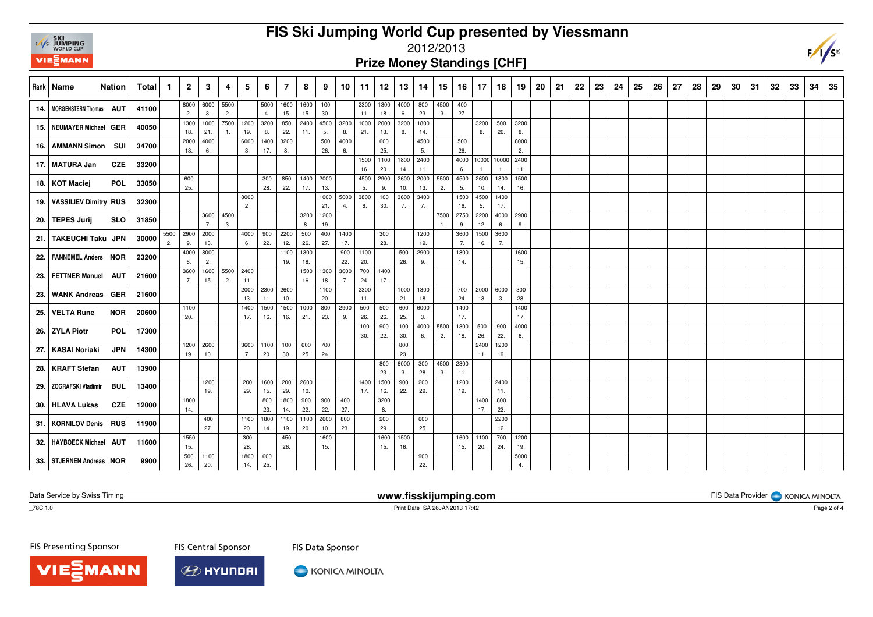

# **FIS Ski Jumping World Cup presented by Viessmann**

### 2012/2013

#### **Prize Money Standings [CHF]**

| Rank   Name                  | Nation     | Total | $\mathbf{1}$ | $\mathbf{2}$    | 3           | 4    | 5           | 6           | 7               | 8           | 9          | 10          | 11          | 12          | 13          | 14          | 15   | 16          | 17 <sup>2</sup> | 18          | 19          | 20 | 21 | 22 | 23 | 24 | 25 | 26 | 27 | 28 | 29 | 30 | -31 | -32 | 33 | 34 | 35 |
|------------------------------|------------|-------|--------------|-----------------|-------------|------|-------------|-------------|-----------------|-------------|------------|-------------|-------------|-------------|-------------|-------------|------|-------------|-----------------|-------------|-------------|----|----|----|----|----|----|----|----|----|----|----|-----|-----|----|----|----|
| 14.   MORGENSTERN Thomas AUT |            | 41100 |              | 8000            | 6000        | 5500 |             |             | 5000 1600       | 1600        | 100        |             | 2300        | 1300        | 4000        | 800         | 4500 | 400         |                 |             |             |    |    |    |    |    |    |    |    |    |    |    |     |     |    |    |    |
|                              |            |       |              | 2.              | 3.          | 2.   |             | 4.          | 15.             | 15.         | 30.        |             | 11.         | 18.         | 6.          | 23.         | 3.   | 27.         |                 |             |             |    |    |    |    |    |    |    |    |    |    |    |     |     |    |    |    |
| 15. NEUMAYER Michael GER     |            | 40050 |              | 1300            | 1000        | 7500 | 1200        | 3200        | 850             | 2400        | 4500       | 3200        | 1000        | 2000        | 3200        | 1800        |      |             | 3200            | 500         | 3200        |    |    |    |    |    |    |    |    |    |    |    |     |     |    |    |    |
|                              |            |       |              | 18.             | 21.         | 1.   | 19.         | 8.          | 22.             | 11.         | 5.         | 8.          | 21.         | 13.         | 8.          | 14.         |      |             | 8.              | 26.         | 8.          |    |    |    |    |    |    |    |    |    |    |    |     |     |    |    |    |
| 16. AMMANN Simon SUI         |            | 34700 |              | 2000<br>13.     | 4000<br>6.  |      | 6000<br>3.  | 17.         | 1400 3200<br>8. |             | 500<br>26. | 4000<br>6.  |             | 600<br>25.  |             | 4500<br>5.  |      | 500<br>26.  |                 |             | 8000<br>2.  |    |    |    |    |    |    |    |    |    |    |    |     |     |    |    |    |
| 17.   MATURA Jan             | CZE        | 33200 |              |                 |             |      |             |             |                 |             |            |             | 1500<br>16. | 1100<br>20. | 1800<br>14. | 2400<br>11. |      | 4000<br>6.  |                 | 10000 10000 | 2400<br>11. |    |    |    |    |    |    |    |    |    |    |    |     |     |    |    |    |
|                              |            |       |              | 600             |             |      |             | 300         | 850             | 1400        | 2000       |             | 4500        | 2900        | 2600        | 2000        | 5500 | 4500        | 2600            | 1800        | 1500        |    |    |    |    |    |    |    |    |    |    |    |     |     |    |    |    |
| 18. KOT Maciej               | <b>POL</b> | 33050 |              | 25.             |             |      |             | 28.         | 22.             | 17.         | 13.        |             | 5.          | 9.          | 10.         | 13.         | 2.   | 5.          | 10.             | 14.         | 16.         |    |    |    |    |    |    |    |    |    |    |    |     |     |    |    |    |
|                              |            |       |              |                 |             |      | 8000        |             |                 |             | 1000       | 5000        | 3800        | 100         | 3600        | 3400        |      | 1500        | 4500            | 1400        |             |    |    |    |    |    |    |    |    |    |    |    |     |     |    |    |    |
| 19. VASSILIEV Dimitry RUS    |            | 32300 |              |                 |             |      | 2.          |             |                 |             | 21.        | 4.          | 6.          | 30.         |             | 7.          |      | 16.         | 5.              | 17.         |             |    |    |    |    |    |    |    |    |    |    |    |     |     |    |    |    |
| 20. TEPES Jurij              | <b>SLO</b> | 31850 |              |                 | 3600        | 4500 |             |             |                 | 3200        | 1200       |             |             |             |             |             | 7500 | 2750        | 2200            | 4000        | 2900        |    |    |    |    |    |    |    |    |    |    |    |     |     |    |    |    |
|                              |            |       |              |                 | 7.          | 3.   |             |             |                 | 8.          | 19.        |             |             |             |             |             |      | 9.          | 12.             | 6.          | 9.          |    |    |    |    |    |    |    |    |    |    |    |     |     |    |    |    |
| 21. TAKEUCHI Taku JPN        |            | 30000 | 2.           | 5500 2900<br>9. | 2000<br>13. |      | 4000<br>6.  | 900<br>22.  | 2200<br>12.     | 500<br>26.  | 400<br>27. | 1400<br>17. |             | 300<br>28.  |             | 1200<br>19. |      | 3600<br>7.  | 1500<br>16.     | 3600        |             |    |    |    |    |    |    |    |    |    |    |    |     |     |    |    |    |
|                              |            |       |              | 4000            | 8000        |      |             |             | 1100            | 1300        |            | 900         | 1100        |             | 500         | 2900        |      | 1800        |                 |             | 1600        |    |    |    |    |    |    |    |    |    |    |    |     |     |    |    |    |
| 22.   FANNEMEL Anders NOR    |            | 23200 |              | 6.              | 2.          |      |             |             | 19.             | 18.         |            | 22.         | 20.         |             | 26.         | 9.          |      | 14.         |                 |             | 15.         |    |    |    |    |    |    |    |    |    |    |    |     |     |    |    |    |
| 23. FETTNER Manuel AUT       |            | 21600 |              | 3600            | 1600        | 5500 | 2400        |             |                 | 1500        | 1300       | 3600        | 700         | 1400        |             |             |      |             |                 |             |             |    |    |    |    |    |    |    |    |    |    |    |     |     |    |    |    |
|                              |            |       |              | 7.              | 15.         | 2.   | 11.         |             |                 | 16.         | 18.        | 7.          | 24.         | 17.         |             |             |      |             |                 |             |             |    |    |    |    |    |    |    |    |    |    |    |     |     |    |    |    |
| 23. WANK Andreas GER         |            | 21600 |              |                 |             |      | 2000        |             | 2300 2600       |             | 1100       |             | 2300        |             | 1000        | 1300        |      | 700         | 2000            | 6000        | 300         |    |    |    |    |    |    |    |    |    |    |    |     |     |    |    |    |
|                              |            |       |              |                 |             |      | 13.         | 11.         | 10.             |             | 20.        |             | 11.         |             | 21.         | 18.         |      | 24.         | 13.             | 3.          | 28.         |    |    |    |    |    |    |    |    |    |    |    |     |     |    |    |    |
| 25. VELTA Rune               | <b>NOR</b> | 20600 |              | 1100<br>20.     |             |      | 1400<br>17. | 1500<br>16. | 1500<br>16.     | 1000<br>21. | 800<br>23. | 2900<br>9.  | 500<br>26.  | 500<br>26.  | 600<br>25.  | 6000<br>3.  |      | 1400<br>17. |                 |             | 1400<br>17. |    |    |    |    |    |    |    |    |    |    |    |     |     |    |    |    |
|                              |            |       |              |                 |             |      |             |             |                 |             |            |             | 100         | 900         | 100         | 4000        | 5500 | 1300        | 500             | 900         | 4000        |    |    |    |    |    |    |    |    |    |    |    |     |     |    |    |    |
| 26. ZYLA Piotr               | <b>POL</b> | 17300 |              |                 |             |      |             |             |                 |             |            |             | 30.         | 22.         | 30.         | 6.          | 2.   | 18.         | 26.             | 22.         | 6.          |    |    |    |    |    |    |    |    |    |    |    |     |     |    |    |    |
|                              | <b>JPN</b> |       |              | 1200            | 2600        |      | 3600        | 1100        | 100             | 600         | 700        |             |             |             | 800         |             |      |             | 2400            | 1200        |             |    |    |    |    |    |    |    |    |    |    |    |     |     |    |    |    |
| 27.   KASAI Noriaki          |            | 14300 |              | 19.             | 10.         |      | 7.          | 20.         | 30.             | 25.         | 24.        |             |             |             | 23.         |             |      |             | 11.             | 19.         |             |    |    |    |    |    |    |    |    |    |    |    |     |     |    |    |    |
| 28.   KRAFT Stefan           | <b>AUT</b> | 13900 |              |                 |             |      |             |             |                 |             |            |             |             | 800         | 6000        | 300         | 4500 | 2300        |                 |             |             |    |    |    |    |    |    |    |    |    |    |    |     |     |    |    |    |
|                              |            |       |              |                 |             |      |             |             |                 |             |            |             |             | 23.         | 3.          | 28.         | 3.   | 11.         |                 |             |             |    |    |    |    |    |    |    |    |    |    |    |     |     |    |    |    |
| 29. ZOGRAFSKI Vladimir       | BUL        | 13400 |              |                 | 1200        |      | 200         | 1600        | 200             | 2600        |            |             | 1400        | 1500        | 900         | 200         |      | 1200        |                 | 2400        |             |    |    |    |    |    |    |    |    |    |    |    |     |     |    |    |    |
|                              |            |       |              | 1800            | 19.         |      | 29.         | 15.<br>800  | 29.<br>1800     | 10.<br>900  | 900        | 400         | 17.         | 16.<br>3200 | 22.         | 29.         |      | 19.         | 1400            | 11.<br>800  |             |    |    |    |    |    |    |    |    |    |    |    |     |     |    |    |    |
| 30. HLAVA Lukas              | CZE        | 12000 |              | 14.             |             |      |             | 23.         | 14.             | 22.         | 22.        | 27.         |             | 8.          |             |             |      |             | 17.             | 23.         |             |    |    |    |    |    |    |    |    |    |    |    |     |     |    |    |    |
|                              |            |       |              |                 | 400         |      | 1100        |             | 1800 1100       | 1100        | 2600       | 800         |             | 200         |             | 600         |      |             |                 | 2200        |             |    |    |    |    |    |    |    |    |    |    |    |     |     |    |    |    |
| 31.   KORNILOV Denis RUS     |            | 11900 |              |                 | 27.         |      | 20.         | 14.         | 19.             | 20.         | 10.        | 23.         |             | 29.         |             | 25.         |      |             |                 | 12.         |             |    |    |    |    |    |    |    |    |    |    |    |     |     |    |    |    |
| 32.   HAYBOECK Michael AUT   |            | 11600 |              | 1550            |             |      | 300         |             | 450             |             | 1600       |             |             | 1600        | 1500        |             |      | 1600        | 1100            | 700         | 1200        |    |    |    |    |    |    |    |    |    |    |    |     |     |    |    |    |
|                              |            |       |              | 15.             |             |      | 28.         |             | 26.             |             | 15.        |             |             | 15.         | 16.         |             |      | 15.         | 20.             | 24.         | 19.         |    |    |    |    |    |    |    |    |    |    |    |     |     |    |    |    |
| 33. STJERNEN Andreas NOR     |            | 9900  |              | 500             | 1100        |      | 1800        | 600         |                 |             |            |             |             |             |             | 900         |      |             |                 |             | 5000        |    |    |    |    |    |    |    |    |    |    |    |     |     |    |    |    |
|                              |            |       |              | 26.             | 20.         |      | 14.         | 25.         |                 |             |            |             |             |             |             | 22.         |      |             |                 |             | 4.          |    |    |    |    |    |    |    |    |    |    |    |     |     |    |    |    |

Data Service by Swiss Timing

**www.fisskijumping.com**

FIS Data Provider | KONICA MINOLTA

\_78C 1.0

Print Date SA 26JAN2013 17:42

FIS Presenting Sponsor

**MANN** 

**FIS Central Sponsor** 



KONICA MINOLTA

FIS Data Sponsor

Page 2 of 4

 $\sqrt{s}$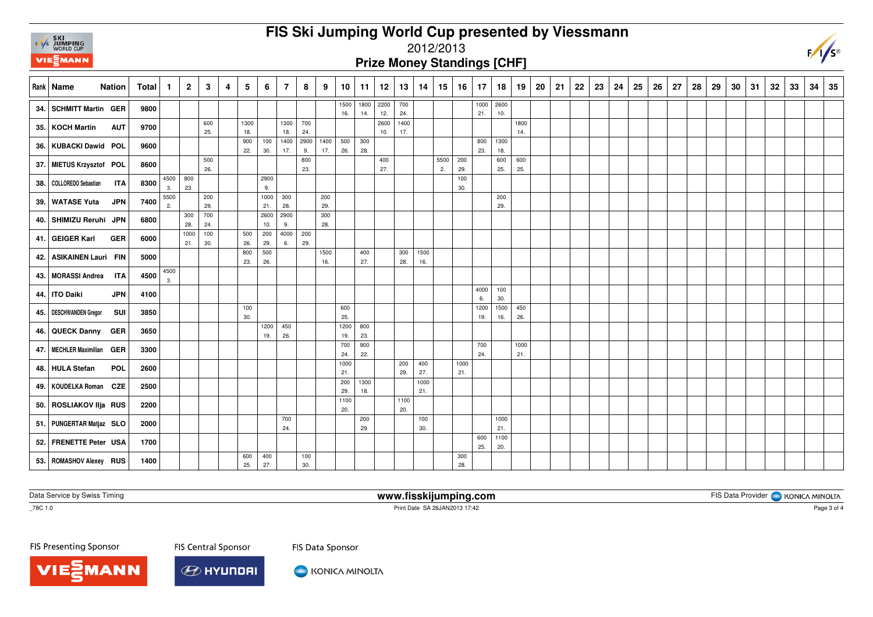# **FIS Ski Jumping World Cup presented by Viessmann**



### 2012/2013

**Prize Money Standings [CHF]**

|      | Rank   Name<br><b>Nation</b>      | <b>Total</b> | 1.         | $\overline{2}$ | 3          | $\overline{4}$ | 5           | 6           | $\overline{7}$ | 8          | 9          | 10          | 11          | 12               | 13          | 14          | 15   | 16          | 17          | 18          | 19          | 20 | 21 | 22 | 23 | 24 | 25 | 26 | 27 | 28 | 29 | 30 | 31 | 32 | 33 | 34 | 35 |
|------|-----------------------------------|--------------|------------|----------------|------------|----------------|-------------|-------------|----------------|------------|------------|-------------|-------------|------------------|-------------|-------------|------|-------------|-------------|-------------|-------------|----|----|----|----|----|----|----|----|----|----|----|----|----|----|----|----|
| 34.  | <b>SCHMITT Martin GER</b>         | 9800         |            |                |            |                |             |             |                |            |            | 1500<br>16. | 14.         | 1800 2200<br>12. | 700<br>24.  |             |      |             | 1000<br>21. | 2600<br>10. |             |    |    |    |    |    |    |    |    |    |    |    |    |    |    |    |    |
| 35.  | KOCH Martin<br><b>AUT</b>         | 9700         |            |                | 600<br>25. |                | 1300<br>18. |             | 1300<br>18.    | 700<br>24. |            |             |             | 2600<br>10.      | 1400<br>17. |             |      |             |             |             | 1800<br>14. |    |    |    |    |    |    |    |    |    |    |    |    |    |    |    |    |
|      | 36. KUBACKI Dawid POL             | 9600         |            |                |            |                | 900<br>22.  | 100         | 1400<br>17.    | 2900       | 1400       | 500         | 300         |                  |             |             |      |             | 800         | 1300        |             |    |    |    |    |    |    |    |    |    |    |    |    |    |    |    |    |
|      | 37. MIETUS Krzysztof POL          | 8600         |            |                | 500        |                |             | 30.         |                | 9.<br>800  | 17.        | 26.         | 28.         | 400              |             |             | 5500 | 200         | 23.         | 18.<br>600  | 600         |    |    |    |    |    |    |    |    |    |    |    |    |    |    |    |    |
| 38.  | COLLOREDO Sebastian<br><b>ITA</b> | 8300         | 4500       | 800<br>23.     | 26.        |                |             | 2900        |                | 23.        |            |             |             | 27.              |             |             | 2.   | 29.<br>100  |             | 25.         | 25.         |    |    |    |    |    |    |    |    |    |    |    |    |    |    |    |    |
| 39.  | <b>WATASE Yuta</b><br><b>JPN</b>  | 7400         | 3.<br>5500 |                | 200        |                |             | 9.<br>1000  | 300            |            | 200        |             |             |                  |             |             |      | 30.         |             | 200         |             |    |    |    |    |    |    |    |    |    |    |    |    |    |    |    |    |
|      | 40. SHIMIZU Reruhi JPN            | 6800         | 2.         | 300            | 29.<br>700 |                |             | 21.<br>2600 | 28.<br>2900    |            | 29.<br>300 |             |             |                  |             |             |      |             |             | 29.         |             |    |    |    |    |    |    |    |    |    |    |    |    |    |    |    |    |
|      | 41. GEIGER Karl<br><b>GER</b>     | 6000         |            | 28.<br>1000    | 24.<br>100 |                | 500         | 10.<br>200  | 9.<br>4000     | 200        | 28.        |             |             |                  |             |             |      |             |             |             |             |    |    |    |    |    |    |    |    |    |    |    |    |    |    |    |    |
|      | ASIKAINEN Lauri FIN               |              |            | 21.            | 30.        |                | 26.<br>800  | 29.<br>500  | 6.             | 29.        | 1500       |             | 400         |                  | 300         | 1500        |      |             |             |             |             |    |    |    |    |    |    |    |    |    |    |    |    |    |    |    |    |
| 42.1 |                                   | 5000         | 4500       |                |            |                | 23.         | 26.         |                |            | 16.        |             | 27.         |                  | 28.         | 16.         |      |             |             |             |             |    |    |    |    |    |    |    |    |    |    |    |    |    |    |    |    |
| 43.  | MORASSI Andrea<br><b>ITA</b>      | 4500         | 3.         |                |            |                |             |             |                |            |            |             |             |                  |             |             |      |             | 4000        | 100         |             |    |    |    |    |    |    |    |    |    |    |    |    |    |    |    |    |
|      | 44. TO Daiki<br><b>JPN</b>        | 4100         |            |                |            |                |             |             |                |            |            |             |             |                  |             |             |      |             | 6.          | 30.         |             |    |    |    |    |    |    |    |    |    |    |    |    |    |    |    |    |
|      | 45.   DESCHWANDEN Gregor<br>SUI   | 3850         |            |                |            |                | 100<br>30.  |             |                |            |            | 600<br>25.  |             |                  |             |             |      |             | 1200<br>19. | 1500<br>16. | 450<br>26.  |    |    |    |    |    |    |    |    |    |    |    |    |    |    |    |    |
|      | 46. QUECK Danny GER               | 3650         |            |                |            |                |             | 1200<br>19. | 450<br>26.     |            |            | 1200<br>19. | 800<br>23.  |                  |             |             |      |             |             |             |             |    |    |    |    |    |    |    |    |    |    |    |    |    |    |    |    |
| 47.  | MECHLER Maximilian GER            | 3300         |            |                |            |                |             |             |                |            |            | 700<br>24.  | 900<br>22.  |                  |             |             |      |             | 700<br>24.  |             | 1000<br>21. |    |    |    |    |    |    |    |    |    |    |    |    |    |    |    |    |
|      | 48. HULA Stefan<br>POL            | 2600         |            |                |            |                |             |             |                |            |            | 1000<br>21. |             |                  | 200<br>29.  | 400<br>27.  |      | 1000<br>21. |             |             |             |    |    |    |    |    |    |    |    |    |    |    |    |    |    |    |    |
|      | 49. KOUDELKA Roman CZE            | 2500         |            |                |            |                |             |             |                |            |            | 200<br>29.  | 1300<br>18. |                  |             | 1000<br>21. |      |             |             |             |             |    |    |    |    |    |    |    |    |    |    |    |    |    |    |    |    |
|      | 50. ROSLIAKOV IIja RUS            | 2200         |            |                |            |                |             |             |                |            |            | 1100<br>20. |             |                  | 1100<br>20. |             |      |             |             |             |             |    |    |    |    |    |    |    |    |    |    |    |    |    |    |    |    |
|      | 51.   PUNGERTAR Matjaz SLO        | 2000         |            |                |            |                |             |             | 700<br>24.     |            |            |             | 200<br>29.  |                  |             | 100<br>30.  |      |             |             | 1000<br>21. |             |    |    |    |    |    |    |    |    |    |    |    |    |    |    |    |    |
|      | 52. FRENETTE Peter USA            | 1700         |            |                |            |                |             |             |                |            |            |             |             |                  |             |             |      |             | 600<br>25.  | 1100<br>20. |             |    |    |    |    |    |    |    |    |    |    |    |    |    |    |    |    |
|      | 53. ROMASHOV Alexey RUS           | 1400         |            |                |            |                | 600<br>25.  | 400<br>27.  |                | 100<br>30. |            |             |             |                  |             |             |      | 300<br>28.  |             |             |             |    |    |    |    |    |    |    |    |    |    |    |    |    |    |    |    |

Data Service by Swiss Timing

**www.fisskijumping.com**

FIS Data Provider | KONICA MINOLTA

 $\overline{\text{--}78C}$  1.0

Print Date SA 26JAN2013 17:42

FIS Presenting Sponsor

**MANN** 

**FIS Central Sponsor** 



KONICA MINOLTA

FIS Data Sponsor

Page 3 of 4